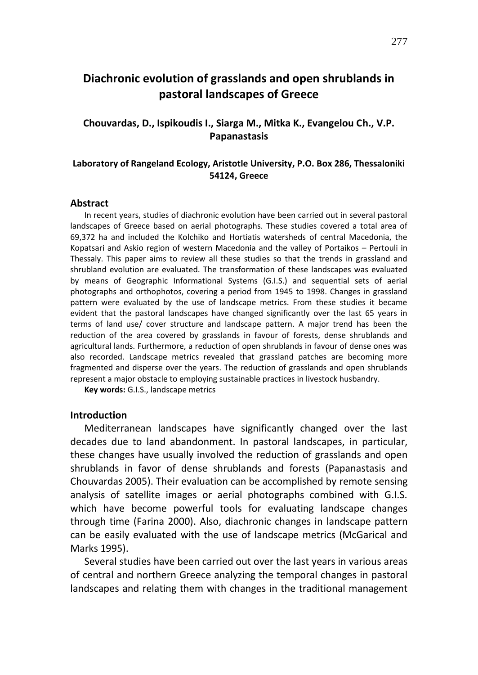# **Diachronic evolution of grasslands and open shrublands in pastoral landscapes of Greece**

# **Chouvardas, D., Ispikoudis I., Siarga M., Mitka K., Evangelou Ch., V.P. Papanastasis**

### **Laboratory of Rangeland Ecology, Aristotle University, P.O. Box 286, Thessaloniki 54124, Greece**

#### **Abstract**

In recent years, studies of diachronic evolution have been carried out in several pastoral landscapes of Greece based on aerial photographs. These studies covered a total area of 69,372 ha and included the Kolchiko and Hortiatis watersheds of central Macedonia, the Kopatsari and Askio region of western Macedonia and the valley of Portaikos – Pertouli in Thessaly. This paper aims to review all these studies so that the trends in grassland and shrubland evolution are evaluated. The transformation of these landscapes was evaluated by means of Geographic Informational Systems (G.I.S.) and sequential sets of aerial photographs and orthophotos, covering a period from 1945 to 1998. Changes in grassland pattern were evaluated by the use of landscape metrics. From these studies it became evident that the pastoral landscapes have changed significantly over the last 65 years in terms of land use/ cover structure and landscape pattern. A major trend has been the reduction of the area covered by grasslands in favour of forests, dense shrublands and agricultural lands. Furthermore, a reduction of open shrublands in favour of dense ones was also recorded. Landscape metrics revealed that grassland patches are becoming more fragmented and disperse over the years. The reduction of grasslands and open shrublands represent a major obstacle to employing sustainable practices in livestock husbandry.

**Key words:** G.I.S., landscape metrics

#### **Introduction**

Mediterranean landscapes have significantly changed over the last decades due to land abandonment. In pastoral landscapes, in particular, these changes have usually involved the reduction of grasslands and open shrublands in favor of dense shrublands and forests (Papanastasis and Chouvardas 2005). Their evaluation can be accomplished by remote sensing analysis of satellite images or aerial photographs combined with G.I.S. which have become powerful tools for evaluating landscape changes through time (Farina 2000). Also, diachronic changes in landscape pattern can be easily evaluated with the use of landscape metrics (McGarical and Marks 1995).

Several studies have been carried out over the last years in various areas of central and northern Greece analyzing the temporal changes in pastoral landscapes and relating them with changes in the traditional management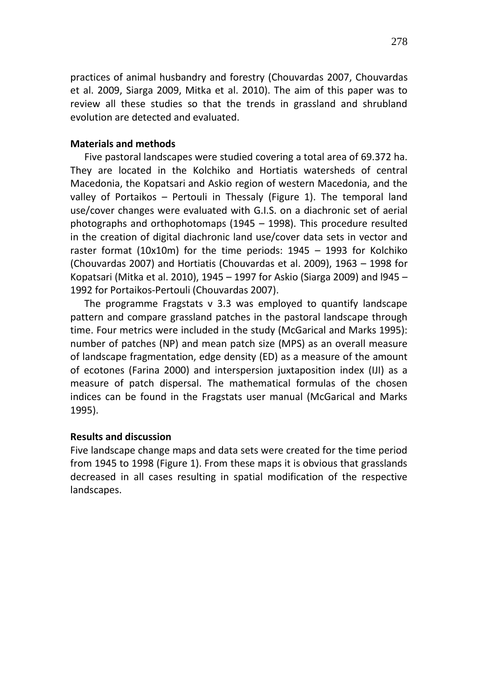practices of animal husbandry and forestry (Chouvardas 2007, Chouvardas et al. 2009, Siarga 2009, Mitka et al. 2010). The aim of this paper was to review all these studies so that the trends in grassland and shrubland evolution are detected and evaluated.

## **Materials and methods**

Five pastoral landscapes were studied covering a total area of 69.372 ha. They are located in the Kolchiko and Hortiatis watersheds of central Macedonia, the Kopatsari and Askio region of western Macedonia, and the valley of Portaikos – Pertouli in Thessaly (Figure 1). The temporal land use/cover changes were evaluated with G.I.S. on a diachronic set of aerial photographs and orthophotomaps (1945 – 1998). This procedure resulted in the creation of digital diachronic land use/cover data sets in vector and raster format (10x10m) for the time periods: 1945 – 1993 for Kolchiko (Chouvardas 2007) and Hortiatis (Chouvardas et al. 2009), 1963 – 1998 for Kopatsari (Mitka et al. 2010), 1945 – 1997 for Askio (Siarga 2009) and l945 – 1992 for Portaikos-Pertouli (Chouvardas 2007).

The programme Fragstats v 3.3 was employed to quantify landscape pattern and compare grassland patches in the pastoral landscape through time. Four metrics were included in the study (McGarical and Marks 1995): number of patches (NP) and mean patch size (MPS) as an overall measure of landscape fragmentation, edge density (ED) as a measure of the amount of ecotones (Farina 2000) and interspersion juxtaposition index (IJI) as a measure of patch dispersal. The mathematical formulas of the chosen indices can be found in the Fragstats user manual (McGarical and Marks 1995).

### **Results and discussion**

Five landscape change maps and data sets were created for the time period from 1945 to 1998 (Figure 1). From these maps it is obvious that grasslands decreased in all cases resulting in spatial modification of the respective landscapes.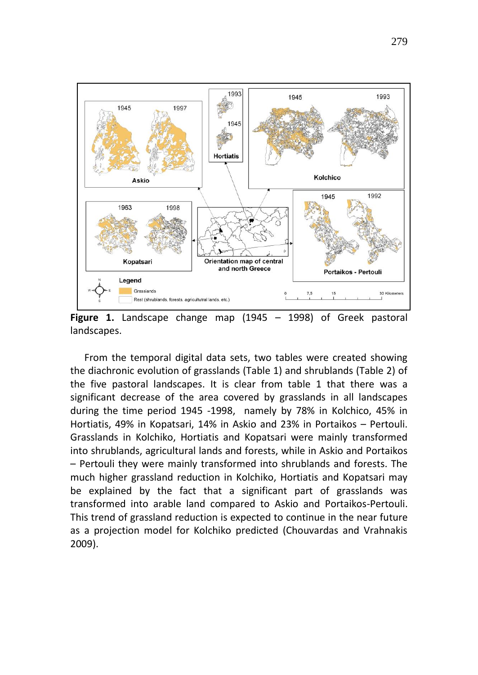

**Figure 1.** Landscape change map (1945 – 1998) of Greek pastoral landscapes.

From the temporal digital data sets, two tables were created showing the diachronic evolution of grasslands (Table 1) and shrublands (Table 2) of the five pastoral landscapes. It is clear from table 1 that there was a significant decrease of the area covered by grasslands in all landscapes during the time period 1945 -1998, namely by 78% in Kolchico, 45% in Hortiatis, 49% in Kopatsari, 14% in Askio and 23% in Portaikos – Pertouli. Grasslands in Kolchiko, Hortiatis and Kopatsari were mainly transformed into shrublands, agricultural lands and forests, while in Askio and Portaikos – Pertouli they were mainly transformed into shrublands and forests. The much higher grassland reduction in Kolchiko, Hortiatis and Kopatsari may be explained by the fact that a significant part of grasslands was transformed into arable land compared to Askio and Portaikos-Pertouli. This trend of grassland reduction is expected to continue in the near future as a projection model for Kolchiko predicted (Chouvardas and Vrahnakis 2009).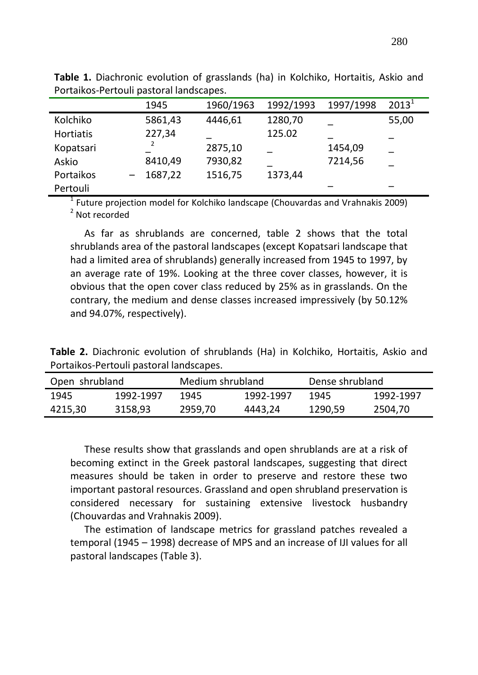|           | 1945    | 1960/1963 | 1992/1993 | 1997/1998 | $2013^1$ |
|-----------|---------|-----------|-----------|-----------|----------|
| Kolchiko  | 5861,43 | 4446,61   | 1280,70   |           | 55,00    |
| Hortiatis | 227,34  |           | 125.02    |           |          |
| Kopatsari |         | 2875,10   |           | 1454,09   |          |
| Askio     | 8410,49 | 7930,82   |           | 7214,56   |          |
| Portaikos | 1687,22 | 1516,75   | 1373,44   |           |          |
| Pertouli  |         |           |           |           |          |

**Table 1.** Diachronic evolution of grasslands (ha) in Kolchiko, Hortaitis, Askio and Portaikos-Pertouli pastoral landscapes.

 $<sup>1</sup>$  Future projection model for Kolchiko landscape (Chouvardas and Vrahnakis 2009)</sup> <sup>2</sup> Not recorded

As far as shrublands are concerned, table 2 shows that the total shrublands area of the pastoral landscapes (except Kopatsari landscape that had a limited area of shrublands) generally increased from 1945 to 1997, by an average rate of 19%. Looking at the three cover classes, however, it is obvious that the open cover class reduced by 25% as in grasslands. On the contrary, the medium and dense classes increased impressively (by 50.12% and 94.07%, respectively).

**Table 2.** Diachronic evolution of shrublands (Ha) in Kolchiko, Hortaitis, Askio and Portaikos-Pertouli pastoral landscapes.

| Open shrubland |           | Medium shrubland |           | Dense shrubland |           |  |
|----------------|-----------|------------------|-----------|-----------------|-----------|--|
| 1945           | 1992-1997 | 1945             | 1992-1997 | 1945            | 1992-1997 |  |
| 4215,30        | 3158.93   | 2959.70          | 4443.24   | 1290.59         | 2504.70   |  |

These results show that grasslands and open shrublands are at a risk of becoming extinct in the Greek pastoral landscapes, suggesting that direct measures should be taken in order to preserve and restore these two important pastoral resources. Grassland and open shrubland preservation is considered necessary for sustaining extensive livestock husbandry (Chouvardas and Vrahnakis 2009).

The estimation of landscape metrics for grassland patches revealed a temporal (1945 – 1998) decrease of MPS and an increase of IJI values for all pastoral landscapes (Table 3).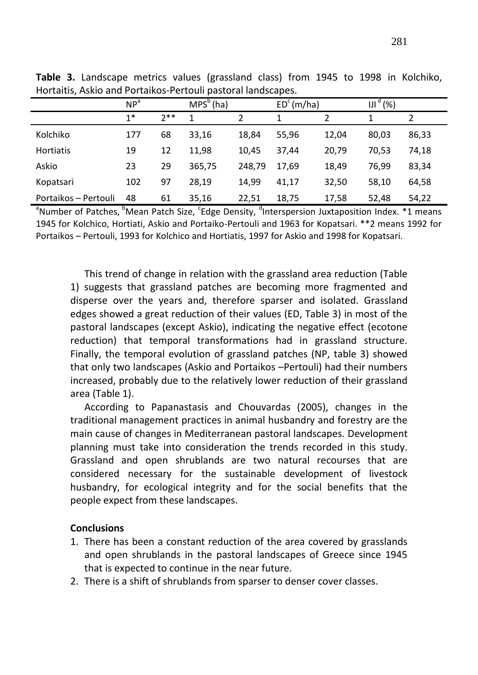|                      | NP <sup>a</sup> |       | $MPS^b(ha)$ |        | $EDc$ (m/ha) |       | IJI <sup>a</sup><br>(%) |       |
|----------------------|-----------------|-------|-------------|--------|--------------|-------|-------------------------|-------|
|                      | $1*$            | $7**$ | 1           |        |              |       |                         |       |
| Kolchiko             | 177             | 68    | 33,16       | 18,84  | 55,96        | 12,04 | 80,03                   | 86,33 |
| <b>Hortiatis</b>     | 19              | 12    | 11.98       | 10,45  | 37.44        | 20,79 | 70,53                   | 74,18 |
| Askio                | 23              | 29    | 365,75      | 248,79 | 17.69        | 18,49 | 76,99                   | 83,34 |
| Kopatsari            | 102             | 97    | 28.19       | 14.99  | 41.17        | 32,50 | 58,10                   | 64,58 |
| Portaikos - Pertouli | 48              | 61    | 35,16       | 22,51  | 18,75        | 17,58 | 52,48                   | 54,22 |

**Table 3.** Landscape metrics values (grassland class) from 1945 to 1998 in Kolchiko, Hortaitis, Askio and Portaikos-Pertouli pastoral landscapes.

<sup>a</sup>Number of Patches, <sup>b</sup>Mean Patch Size, <sup>c</sup>Edge Density, <sup>d</sup>Interspersion Juxtaposition Index. \*1 means 1945 for Kolchico, Hortiati, Askio and Portaiko-Pertouli and 1963 for Kopatsari. \*\*2 means 1992 for Portaikos – Pertouli, 1993 for Kolchico and Hortiatis, 1997 for Askio and 1998 for Kopatsari.

This trend of change in relation with the grassland area reduction (Table 1) suggests that grassland patches are becoming more fragmented and disperse over the years and, therefore sparser and isolated. Grassland edges showed a great reduction of their values (ED, Table 3) in most of the pastoral landscapes (except Askio), indicating the negative effect (ecotone reduction) that temporal transformations had in grassland structure. Finally, the temporal evolution of grassland patches (NP, table 3) showed that only two landscapes (Askio and Portaikos –Pertouli) had their numbers increased, probably due to the relatively lower reduction of their grassland area (Table 1).

According to Papanastasis and Chouvardas (2005), changes in the traditional management practices in animal husbandry and forestry are the main cause of changes in Mediterranean pastoral landscapes. Development planning must take into consideration the trends recorded in this study. Grassland and open shrublands are two natural recourses that are considered necessary for the sustainable development of livestock husbandry, for ecological integrity and for the social benefits that the people expect from these landscapes.

# **Conclusions**

- 1. There has been a constant reduction of the area covered by grasslands and open shrublands in the pastoral landscapes of Greece since 1945 that is expected to continue in the near future.
- 2. There is a shift of shrublands from sparser to denser cover classes.